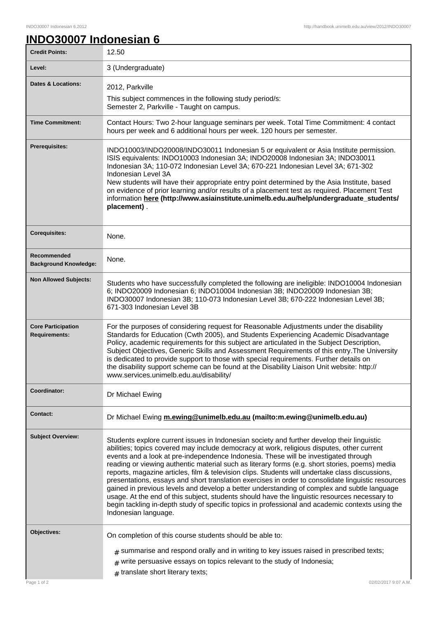٦

## **INDO30007 Indonesian 6**

| <b>Credit Points:</b>                             | 12.50                                                                                                                                                                                                                                                                                                                                                                                                                                                                                                                                                                                                                                                                                                                                                                                                                                                                                                                  |
|---------------------------------------------------|------------------------------------------------------------------------------------------------------------------------------------------------------------------------------------------------------------------------------------------------------------------------------------------------------------------------------------------------------------------------------------------------------------------------------------------------------------------------------------------------------------------------------------------------------------------------------------------------------------------------------------------------------------------------------------------------------------------------------------------------------------------------------------------------------------------------------------------------------------------------------------------------------------------------|
| Level:                                            | 3 (Undergraduate)                                                                                                                                                                                                                                                                                                                                                                                                                                                                                                                                                                                                                                                                                                                                                                                                                                                                                                      |
| <b>Dates &amp; Locations:</b>                     | 2012, Parkville<br>This subject commences in the following study period/s:<br>Semester 2, Parkville - Taught on campus.                                                                                                                                                                                                                                                                                                                                                                                                                                                                                                                                                                                                                                                                                                                                                                                                |
| <b>Time Commitment:</b>                           | Contact Hours: Two 2-hour language seminars per week. Total Time Commitment: 4 contact<br>hours per week and 6 additional hours per week. 120 hours per semester.                                                                                                                                                                                                                                                                                                                                                                                                                                                                                                                                                                                                                                                                                                                                                      |
| <b>Prerequisites:</b>                             | INDO10003/INDO20008/INDO30011 Indonesian 5 or equivalent or Asia Institute permission.<br>ISIS equivalents: INDO10003 Indonesian 3A; INDO20008 Indonesian 3A; INDO30011<br>Indonesian 3A; 110-072 Indonesian Level 3A; 670-221 Indonesian Level 3A; 671-302<br>Indonesian Level 3A<br>New students will have their appropriate entry point determined by the Asia Institute, based<br>on evidence of prior learning and/or results of a placement test as required. Placement Test<br>information here (http://www.asiainstitute.unimelb.edu.au/help/undergraduate_students/<br>placement).                                                                                                                                                                                                                                                                                                                            |
| <b>Corequisites:</b>                              | None.                                                                                                                                                                                                                                                                                                                                                                                                                                                                                                                                                                                                                                                                                                                                                                                                                                                                                                                  |
| Recommended<br><b>Background Knowledge:</b>       | None.                                                                                                                                                                                                                                                                                                                                                                                                                                                                                                                                                                                                                                                                                                                                                                                                                                                                                                                  |
| <b>Non Allowed Subjects:</b>                      | Students who have successfully completed the following are ineligible: INDO10004 Indonesian<br>6; INDO20009 Indonesian 6; INDO10004 Indonesian 3B; INDO20009 Indonesian 3B;<br>INDO30007 Indonesian 3B; 110-073 Indonesian Level 3B; 670-222 Indonesian Level 3B;<br>671-303 Indonesian Level 3B                                                                                                                                                                                                                                                                                                                                                                                                                                                                                                                                                                                                                       |
| <b>Core Participation</b><br><b>Requirements:</b> | For the purposes of considering request for Reasonable Adjustments under the disability<br>Standards for Education (Cwth 2005), and Students Experiencing Academic Disadvantage<br>Policy, academic requirements for this subject are articulated in the Subject Description,<br>Subject Objectives, Generic Skills and Assessment Requirements of this entry. The University<br>is dedicated to provide support to those with special requirements. Further details on<br>the disability support scheme can be found at the Disability Liaison Unit website: http://<br>www.services.unimelb.edu.au/disability/                                                                                                                                                                                                                                                                                                       |
| Coordinator:                                      | Dr Michael Ewing                                                                                                                                                                                                                                                                                                                                                                                                                                                                                                                                                                                                                                                                                                                                                                                                                                                                                                       |
| <b>Contact:</b>                                   | Dr Michael Ewing m.ewing@unimelb.edu.au (mailto:m.ewing@unimelb.edu.au)                                                                                                                                                                                                                                                                                                                                                                                                                                                                                                                                                                                                                                                                                                                                                                                                                                                |
| <b>Subject Overview:</b>                          | Students explore current issues in Indonesian society and further develop their linguistic<br>abilities; topics covered may include democracy at work, religious disputes, other current<br>events and a look at pre-independence Indonesia. These will be investigated through<br>reading or viewing authentic material such as literary forms (e.g. short stories, poems) media<br>reports, magazine articles, film & television clips. Students will undertake class discussions,<br>presentations, essays and short translation exercises in order to consolidate linguistic resources<br>gained in previous levels and develop a better understanding of complex and subtle language<br>usage. At the end of this subject, students should have the linguistic resources necessary to<br>begin tackling in-depth study of specific topics in professional and academic contexts using the<br>Indonesian language. |
| Objectives:                                       | On completion of this course students should be able to:                                                                                                                                                                                                                                                                                                                                                                                                                                                                                                                                                                                                                                                                                                                                                                                                                                                               |
|                                                   | $_{\text{\#}}$ summarise and respond orally and in writing to key issues raised in prescribed texts;<br>write persuasive essays on topics relevant to the study of Indonesia;<br>#<br>$#$ translate short literary texts;                                                                                                                                                                                                                                                                                                                                                                                                                                                                                                                                                                                                                                                                                              |
| Page 1 of 2                                       | 02/02/2017 9:07 A.M.                                                                                                                                                                                                                                                                                                                                                                                                                                                                                                                                                                                                                                                                                                                                                                                                                                                                                                   |